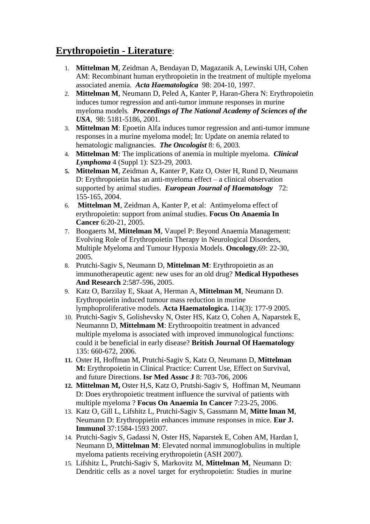## **Erythropoietin - Literature**:

- 1. **Mittelman M**, Zeidman A, Bendayan D, Magazanik A, Lewinski UH, Cohen AM: Recombinant human erythropoietin in the treatment of multiple myeloma associated anemia. *Acta Haematologica* 98: 204-10, 1997.
- 2. **Mittelman M**, Neumann D, Peled A, Kanter P, Haran-Ghera N: Erythropoietin induces tumor regression and anti-tumor immune responses in murine myeloma models. *Proceedings of The National Academy of Sciences of the USA*, 98: 5181-5186, 2001.
- 3. **Mittelman M**: Epoetin Alfa induces tumor regression and anti-tumor immune responses in a murine myeloma model; In: Update on anemia related to hematologic malignancies. *The Oncologist* 8: 6, 2003.
- 4. **Mittelman M**: The implications of anemia in multiple myeloma. *Clinical Lymphoma* 4 (Suppl 1): S23-29, 2003.
- **5. Mittelman M**, Zeidman A, Kanter P, Katz O, Oster H, Rund D, Neumann D: Erythropoietin has an anti-myeloma effect – a clinical observation supported by animal studies. *European Journal of Haematology* 72: 155-165, 2004.
- 6. **Mittelman M**, Zeidman A, Kanter P, et al: Antimyeloma effect of erythropoietin: support from animal studies. **Focus On Anaemia In Cancer** 6:20-21, 2005.
- 7. Boogaerts M, **Mittelman M**, Vaupel P: Beyond Anaemia Management: Evolving Role of Erythropoietin Therapy in Neurological Disorders, Multiple Myeloma and Tumour Hypoxia Models. **Oncology**,69: 22-30, 2005.
- 8. Prutchi-Sagiv S, Neumann D, **Mittelman M**: Erythropoietin as an immunotherapeutic agent: new uses for an old drug? **Medical Hypotheses And Research** 2:587-596, 2005.
- 9. Katz O, Barzilay E, Skaat A, Herman A, **Mittelman M**, Neumann D. Erythropoietin induced tumour mass reduction in murine lymphoproliferative models. **Acta Haematologica.** 114(3): 177-9 2005.
- 10. Prutchi-Sagiv S, Golishevsky N, Oster HS, Katz O, Cohen A, Naparstek E, Neumannn D, **Mittelmam M**: Erythroopoitin treatment in advanced multiple myeloma is associated with improved immunological functions: could it be beneficial in early disease? **British Journal Of Haematology** 135: 660-672, 2006.
- **11.** Oster H, Hoffman M, Prutchi-Sagiv S, Katz O, Neumann D, **Mittelman M:** Erythropoietin in Clinical Practice: Current Use, Effect on Survival, and future Directions. **Isr Med Assoc J** 8: 703-706, 2006
- **12. Mittelman M,** Oster H,S, Katz O, Prutshi-Sagiv S, Hoffman M, Neumann D: Does erythropoietic treatment influence the survival of patients with multiple myeloma ? **Focus On Anaemia In Cancer** 7:23-25, 2006.
- 13. Katz O, Gill L, Lifshitz L, Prutchi-Sagiv S, Gassmann M, **Mitte lman M**, Neumann D: Erythroppietin enhances immune responses in mice. **Eur J. Immunol** 37:1584-1593 2007.
- 14. Prutchi-Sagiv S, Gadassi N, Oster HS, Naparstek E, Cohen AM, Hardan I, Neumann D, **Mittelman M**: Elevated normal immunoglobulins in multiple myeloma patients receiving erythropoietin (ASH 2007).
- 15. Lifshitz L, Prutchi-Sagiv S, Markovitz M, **Mittelman M**, Neumann D: Dendritic cells as a novel target for erythropoietin: Studies in murine